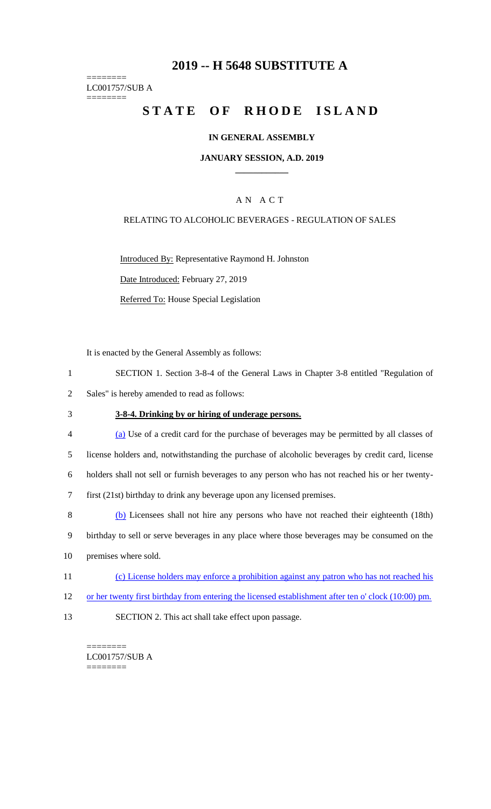## **2019 -- H 5648 SUBSTITUTE A**

======== LC001757/SUB A ========

# STATE OF RHODE ISLAND

### **IN GENERAL ASSEMBLY**

### **JANUARY SESSION, A.D. 2019 \_\_\_\_\_\_\_\_\_\_\_\_**

### A N A C T

### RELATING TO ALCOHOLIC BEVERAGES - REGULATION OF SALES

Introduced By: Representative Raymond H. Johnston

Date Introduced: February 27, 2019

Referred To: House Special Legislation

It is enacted by the General Assembly as follows:

- 1 SECTION 1. Section 3-8-4 of the General Laws in Chapter 3-8 entitled "Regulation of
- 2 Sales" is hereby amended to read as follows:
- 3 **3-8-4. Drinking by or hiring of underage persons.**
- 4 (a) Use of a credit card for the purchase of beverages may be permitted by all classes of 5 license holders and, notwithstanding the purchase of alcoholic beverages by credit card, license 6 holders shall not sell or furnish beverages to any person who has not reached his or her twenty-7 first (21st) birthday to drink any beverage upon any licensed premises.
- 8 (b) Licensees shall not hire any persons who have not reached their eighteenth (18th) 9 birthday to sell or serve beverages in any place where those beverages may be consumed on the 10 premises where sold.
- 11 (c) License holders may enforce a prohibition against any patron who has not reached his
- 12 or her twenty first birthday from entering the licensed establishment after ten o' clock (10:00) pm.
- 13 SECTION 2. This act shall take effect upon passage.

======== LC001757/SUB A ========